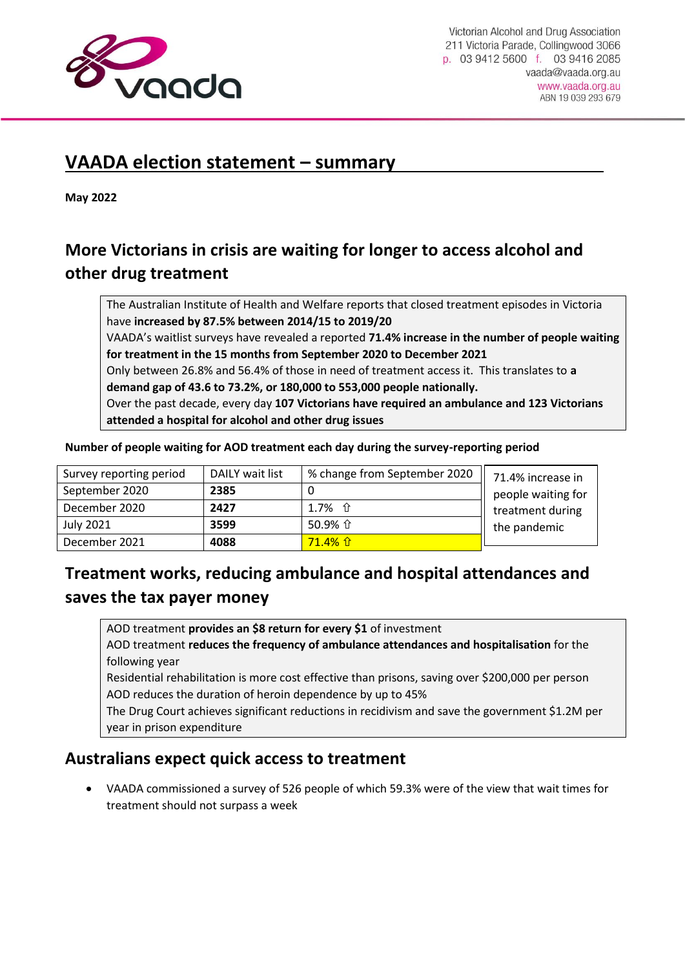

# **VAADA election statement – summary**

**May 2022**

## **More Victorians in crisis are waiting for longer to access alcohol and other drug treatment**

The Australian Institute of Health and Welfare reports that closed treatment episodes in Victoria have **increased by 87.5% between 2014/15 to 2019/20**

VAADA's waitlist surveys have revealed a reported **71.4% increase in the number of people waiting for treatment in the 15 months from September 2020 to December 2021**

Only between 26.8% and 56.4% of those in need of treatment access it. This translates to **a demand gap of 43.6 to 73.2%, or 180,000 to 553,000 people nationally.**

Over the past decade, every day **107 Victorians have required an ambulance and 123 Victorians attended a hospital for alcohol and other drug issues**

| Survey reporting period | DAILY wait list | % change from September 2020 | 71.4% increase in  |
|-------------------------|-----------------|------------------------------|--------------------|
| September 2020          | 2385            |                              | people waiting for |
| December 2020           | 2427            | 1.7% $\hat{U}$               | treatment during   |
| July 2021               | 3599            | 50.9% 企                      | the pandemic       |
| December 2021           | 4088            | $71.4%$ û                    |                    |

#### **Number of people waiting for AOD treatment each day during the survey-reporting period**

### **Treatment works, reducing ambulance and hospital attendances and saves the tax payer money**

AOD treatment **provides an \$8 return for every \$1** of investment

AOD treatment **reduces the frequency of ambulance attendances and hospitalisation** for the following year

Residential rehabilitation is more cost effective than prisons, saving over \$200,000 per person AOD reduces the duration of heroin dependence by up to 45%

The Drug Court achieves significant reductions in recidivism and save the government \$1.2M per year in prison expenditure

### **Australians expect quick access to treatment**

 VAADA commissioned a survey of 526 people of which 59.3% were of the view that wait times for treatment should not surpass a week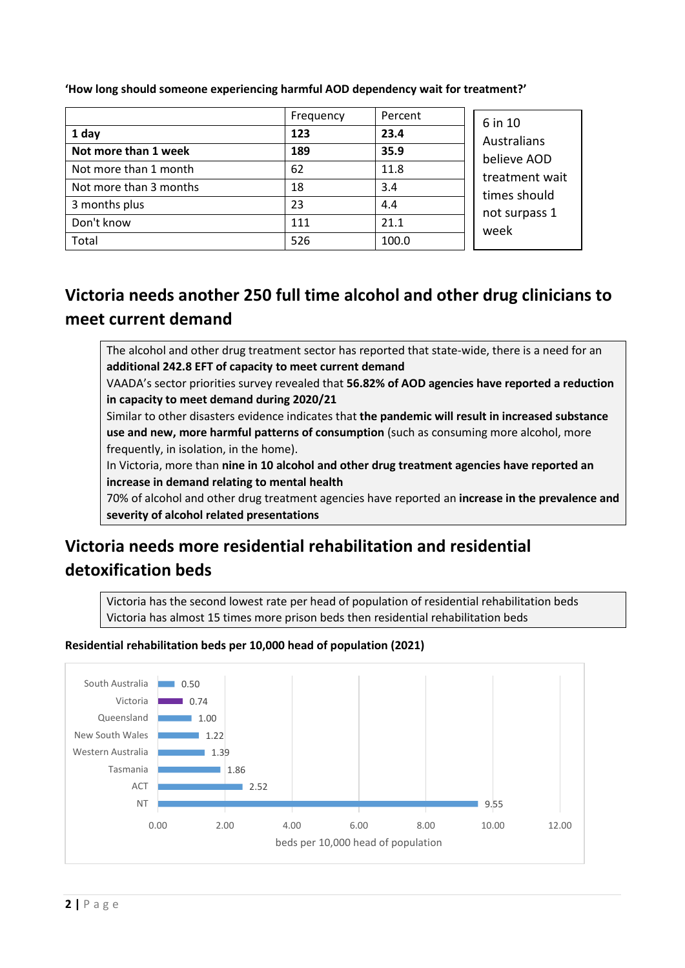|                        | Frequency | Percent | 6 in 10<br>Australians<br>believe AOD<br>treatment wait<br>times should<br>not surpass 1<br>week |
|------------------------|-----------|---------|--------------------------------------------------------------------------------------------------|
| 1 day                  | 123       | 23.4    |                                                                                                  |
| Not more than 1 week   | 189       | 35.9    |                                                                                                  |
| Not more than 1 month  | 62        | 11.8    |                                                                                                  |
| Not more than 3 months | 18        | 3.4     |                                                                                                  |
| 3 months plus          | 23        | 4.4     |                                                                                                  |
| Don't know             | 111       | 21.1    |                                                                                                  |
| Total                  | 526       | 100.0   |                                                                                                  |

**'How long should someone experiencing harmful AOD dependency wait for treatment?'**

# **Victoria needs another 250 full time alcohol and other drug clinicians to meet current demand**

The alcohol and other drug treatment sector has reported that state-wide, there is a need for an **additional 242.8 EFT of capacity to meet current demand**

VAADA's sector priorities survey revealed that **56.82% of AOD agencies have reported a reduction in capacity to meet demand during 2020/21**

Similar to other disasters evidence indicates that **the pandemic will result in increased substance use and new, more harmful patterns of consumption** (such as consuming more alcohol, more frequently, in isolation, in the home).

In Victoria, more than **nine in 10 alcohol and other drug treatment agencies have reported an increase in demand relating to mental health**

70% of alcohol and other drug treatment agencies have reported an **increase in the prevalence and severity of alcohol related presentations**

# **Victoria needs more residential rehabilitation and residential detoxification beds**

Victoria has the second lowest rate per head of population of residential rehabilitation beds Victoria has almost 15 times more prison beds then residential rehabilitation beds

#### **Residential rehabilitation beds per 10,000 head of population (2021)**